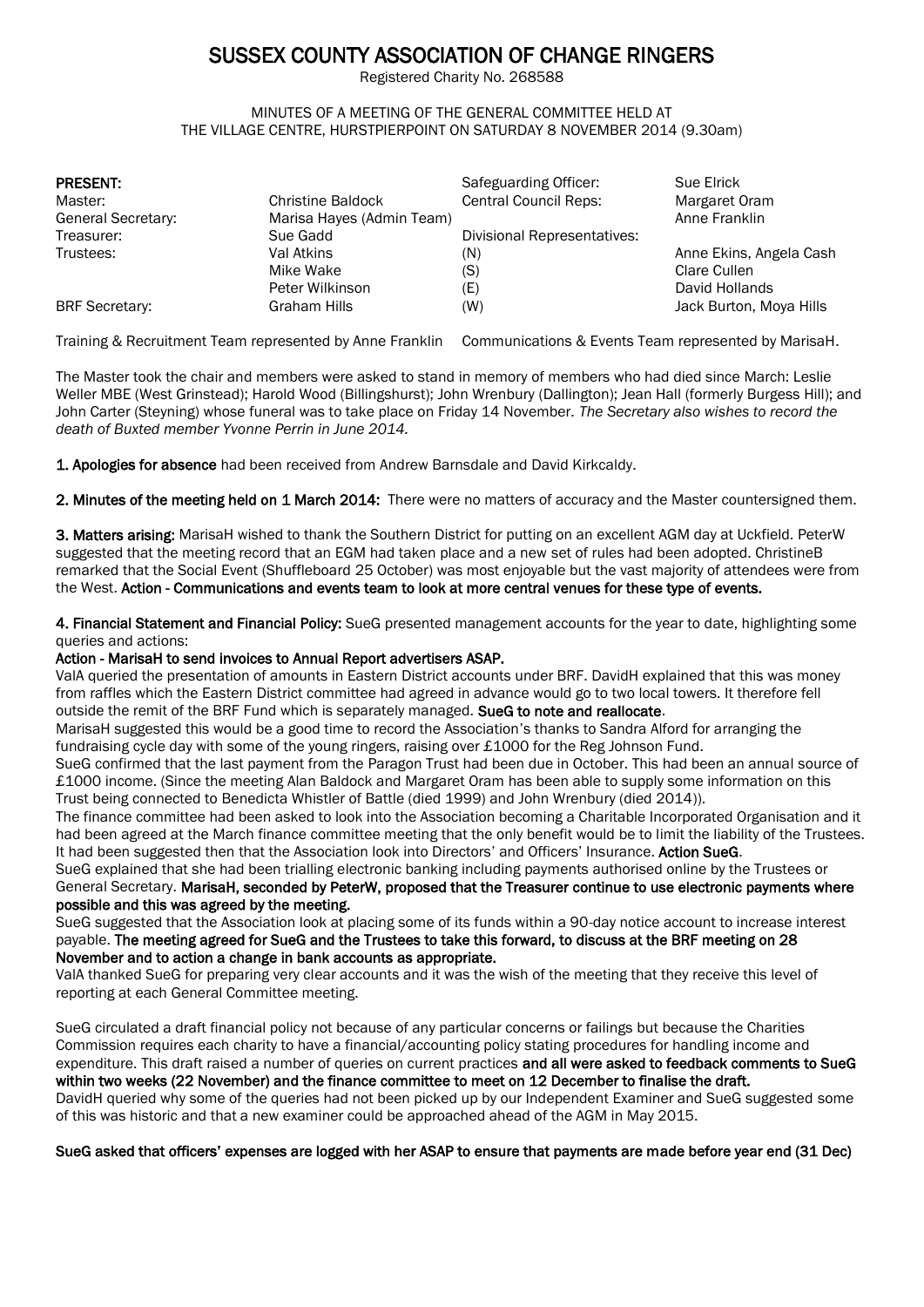# SUSSEX COUNTY ASSOCIATION OF CHANGE RINGERS

Registered Charity No. 268588

#### MINUTES OF A MEETING OF THE GENERAL COMMITTEE HELD AT THE VILLAGE CENTRE, HURSTPIERPOINT ON SATURDAY 8 NOVEMBER 2014 (9.30am)

| <b>PRESENT:</b>       |                           | Safeguarding Officer:        | Sue Elrick              |
|-----------------------|---------------------------|------------------------------|-------------------------|
| Master:               | <b>Christine Baldock</b>  | <b>Central Council Reps:</b> | Margaret Oram           |
| General Secretary:    | Marisa Hayes (Admin Team) |                              | Anne Franklin           |
| Treasurer:            | Sue Gadd                  | Divisional Representatives:  |                         |
| Trustees:             | Val Atkins                | (N)                          | Anne Ekins, Angela Cash |
|                       | Mike Wake                 | (S)                          | Clare Cullen            |
|                       | Peter Wilkinson           | (E)                          | David Hollands          |
| <b>BRF</b> Secretary: | Graham Hills              | (W)                          | Jack Burton, Moya Hills |

Training & Recruitment Team represented by Anne Franklin Communications & Events Team represented by MarisaH.

The Master took the chair and members were asked to stand in memory of members who had died since March: Leslie Weller MBE (West Grinstead); Harold Wood (Billingshurst); John Wrenbury (Dallington); Jean Hall (formerly Burgess Hill); and John Carter (Steyning) whose funeral was to take place on Friday 14 November. *The Secretary also wishes to record the death of Buxted member Yvonne Perrin in June 2014.*

1. Apologies for absence had been received from Andrew Barnsdale and David Kirkcaldy.

2. Minutes of the meeting held on 1 March 2014: There were no matters of accuracy and the Master countersigned them.

3. Matters arising: MarisaH wished to thank the Southern District for putting on an excellent AGM day at Uckfield. PeterW suggested that the meeting record that an EGM had taken place and a new set of rules had been adopted. ChristineB remarked that the Social Event (Shuffleboard 25 October) was most enjoyable but the vast majority of attendees were from the West. Action - Communications and events team to look at more central venues for these type of events.

4. Financial Statement and Financial Policy: SueG presented management accounts for the year to date, highlighting some queries and actions:

# Action - MarisaH to send invoices to Annual Report advertisers ASAP.

ValA queried the presentation of amounts in Eastern District accounts under BRF. DavidH explained that this was money from raffles which the Eastern District committee had agreed in advance would go to two local towers. It therefore fell outside the remit of the BRF Fund which is separately managed. SueG to note and reallocate.

MarisaH suggested this would be a good time to record the Association's thanks to Sandra Alford for arranging the fundraising cycle day with some of the young ringers, raising over £1000 for the Reg Johnson Fund.

SueG confirmed that the last payment from the Paragon Trust had been due in October. This had been an annual source of £1000 income. (Since the meeting Alan Baldock and Margaret Oram has been able to supply some information on this Trust being connected to Benedicta Whistler of Battle (died 1999) and John Wrenbury (died 2014)).

The finance committee had been asked to look into the Association becoming a Charitable Incorporated Organisation and it had been agreed at the March finance committee meeting that the only benefit would be to limit the liability of the Trustees. It had been suggested then that the Association look into Directors' and Officers' Insurance. Action SueG.

SueG explained that she had been trialling electronic banking including payments authorised online by the Trustees or General Secretary. MarisaH, seconded by PeterW, proposed that the Treasurer continue to use electronic payments where possible and this was agreed by the meeting.

SueG suggested that the Association look at placing some of its funds within a 90-day notice account to increase interest payable. The meeting agreed for SueG and the Trustees to take this forward, to discuss at the BRF meeting on 28 November and to action a change in bank accounts as appropriate.

ValA thanked SueG for preparing very clear accounts and it was the wish of the meeting that they receive this level of reporting at each General Committee meeting.

SueG circulated a draft financial policy not because of any particular concerns or failings but because the Charities Commission requires each charity to have a financial/accounting policy stating procedures for handling income and expenditure. This draft raised a number of queries on current practices and all were asked to feedback comments to SueG within two weeks (22 November) and the finance committee to meet on 12 December to finalise the draft. DavidH queried why some of the queries had not been picked up by our Independent Examiner and SueG suggested some of this was historic and that a new examiner could be approached ahead of the AGM in May 2015.

SueG asked that officers' expenses are logged with her ASAP to ensure that payments are made before year end (31 Dec)